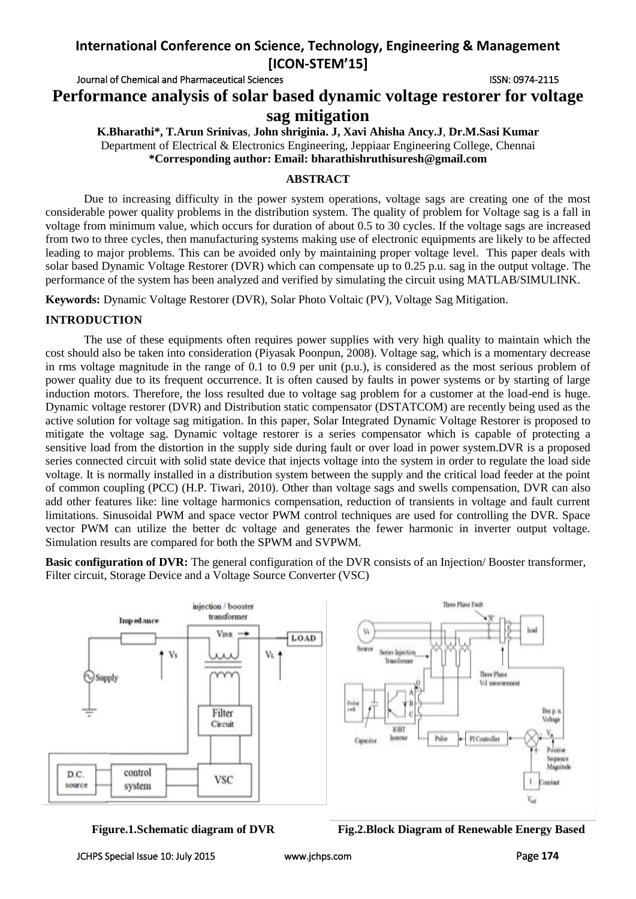# **International Conference on Science, Technology, Engineering & Management [ICON-STEM'15]**

Journal of Chemical and Pharmaceutical Sciences ISSN: 0974-2115

**Performance analysis of solar based dynamic voltage restorer for voltage sag mitigation**

**K.Bharathi\*, T.Arun Srinivas**, **John shriginia. J, Xavi Ahisha Ancy.J**, **Dr.M.Sasi Kumar** Department of Electrical & Electronics Engineering, Jeppiaar Engineering College, Chennai **\*Corresponding author: Email: bharathishruthisuresh@gmail.com**

## **ABSTRACT**

Due to increasing difficulty in the power system operations, voltage sags are creating one of the most considerable power quality problems in the distribution system. The quality of problem for Voltage sag is a fall in voltage from minimum value, which occurs for duration of about 0.5 to 30 cycles. If the voltage sags are increased from two to three cycles, then manufacturing systems making use of electronic equipments are likely to be affected leading to major problems. This can be avoided only by maintaining proper voltage level. This paper deals with solar based Dynamic Voltage Restorer (DVR) which can compensate up to 0.25 p.u. sag in the output voltage. The performance of the system has been analyzed and verified by simulating the circuit using MATLAB/SIMULINK.

**Keywords:** Dynamic Voltage Restorer (DVR), Solar Photo Voltaic (PV), Voltage Sag Mitigation.

## **INTRODUCTION**

The use of these equipments often requires power supplies with very high quality to maintain which the cost should also be taken into consideration (Piyasak Poonpun, 2008). Voltage sag, which is a momentary decrease in rms voltage magnitude in the range of 0.1 to 0.9 per unit (p.u.), is considered as the most serious problem of power quality due to its frequent occurrence. It is often caused by faults in power systems or by starting of large induction motors. Therefore, the loss resulted due to voltage sag problem for a customer at the load-end is huge. Dynamic voltage restorer (DVR) and Distribution static compensator (DSTATCOM) are recently being used as the active solution for voltage sag mitigation. In this paper, Solar Integrated Dynamic Voltage Restorer is proposed to mitigate the voltage sag. Dynamic voltage restorer is a series compensator which is capable of protecting a sensitive load from the distortion in the supply side during fault or over load in power system.DVR is a proposed series connected circuit with solid state device that injects voltage into the system in order to regulate the load side voltage. It is normally installed in a distribution system between the supply and the critical load feeder at the point of common coupling (PCC) (H.P. Tiwari, 2010). Other than voltage sags and swells compensation, DVR can also add other features like: line voltage harmonics compensation, reduction of transients in voltage and fault current limitations. Sinusoidal PWM and space vector PWM control techniques are used for controlling the DVR. Space vector PWM can utilize the better dc voltage and generates the fewer harmonic in inverter output voltage. Simulation results are compared for both the SPWM and SVPWM.

**Basic configuration of DVR:** The general configuration of the DVR consists of an Injection/Booster transformer, Filter circuit, Storage Device and a Voltage Source Converter (VSC)



**Figure.1.Schematic diagram of DVR Fig.2.Block Diagram of Renewable Energy Based**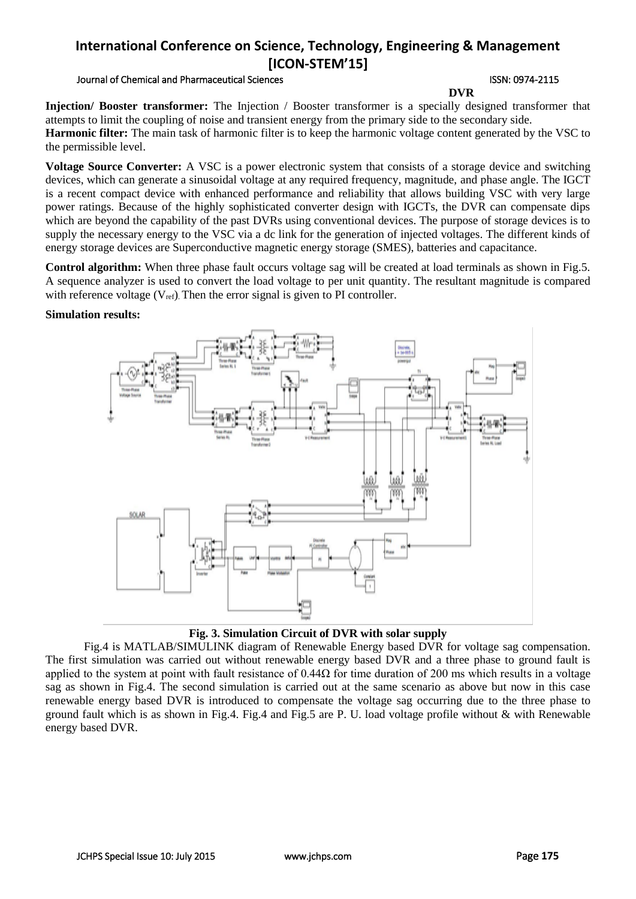# **International Conference on Science, Technology, Engineering & Management [ICON-STEM'15]**

### Journal of Chemical and Pharmaceutical Sciences **ISSN: 0974-2115** ISSN: 0974-2115

**DVR**

**Injection/ Booster transformer:** The Injection / Booster transformer is a specially designed transformer that attempts to limit the coupling of noise and transient energy from the primary side to the secondary side. **Harmonic filter:** The main task of harmonic filter is to keep the harmonic voltage content generated by the VSC to the permissible level.

**Voltage Source Converter:** A VSC is a power electronic system that consists of a storage device and switching devices, which can generate a sinusoidal voltage at any required frequency, magnitude, and phase angle. The IGCT is a recent compact device with enhanced performance and reliability that allows building VSC with very large power ratings. Because of the highly sophisticated converter design with IGCTs, the DVR can compensate dips which are beyond the capability of the past DVRs using conventional devices. The purpose of storage devices is to supply the necessary energy to the VSC via a dc link for the generation of injected voltages. The different kinds of energy storage devices are Superconductive magnetic energy storage (SMES), batteries and capacitance.

**Control algorithm:** When three phase fault occurs voltage sag will be created at load terminals as shown in Fig.5. A sequence analyzer is used to convert the load voltage to per unit quantity. The resultant magnitude is compared with reference voltage  $(V_{ref})$ . Then the error signal is given to PI controller.

### **Simulation results:**



### **Fig. 3. Simulation Circuit of DVR with solar supply**

Fig.4 is MATLAB/SIMULINK diagram of Renewable Energy based DVR for voltage sag compensation. The first simulation was carried out without renewable energy based DVR and a three phase to ground fault is applied to the system at point with fault resistance of  $0.44\Omega$  for time duration of 200 ms which results in a voltage sag as shown in Fig.4. The second simulation is carried out at the same scenario as above but now in this case renewable energy based DVR is introduced to compensate the voltage sag occurring due to the three phase to ground fault which is as shown in Fig.4. Fig.4 and Fig.5 are P. U. load voltage profile without & with Renewable energy based DVR.